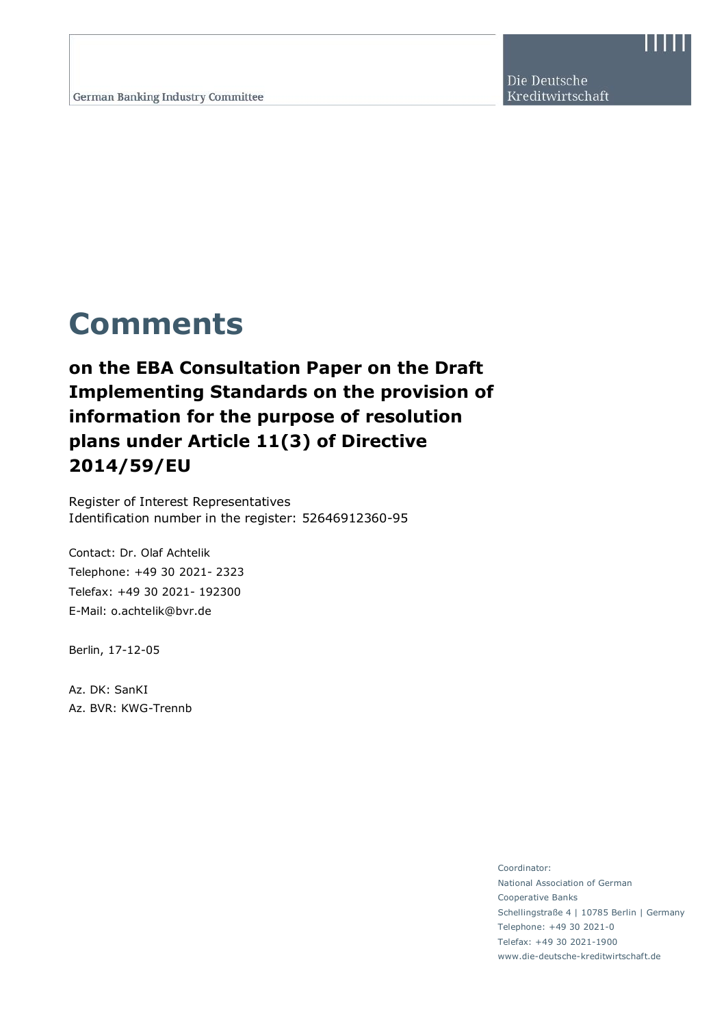Die Deutsche Kreditwirtschaft

# **Comments**

**on the EBA Consultation Paper on the Draft Implementing Standards on the provision of information for the purpose of resolution plans under Article 11(3) of Directive 2014/59/EU**

Register of Interest Representatives Identification number in the register: 52646912360-95

Contact: Dr. Olaf Achtelik Telephone: +49 30 2021- 2323 Telefax: +49 30 2021- 192300 E-Mail: o.achtelik@bvr.de

Berlin, 17-12-05

Az. DK: SanKI Az. BVR: KWG-Trennb

> Coordinator: National Association of German Cooperative Banks Schellingstraße 4 | 10785 Berlin | Germany Telephone: +49 30 2021-0 Telefax: +49 30 2021-1900 www.die-deutsche-kreditwirtschaft.de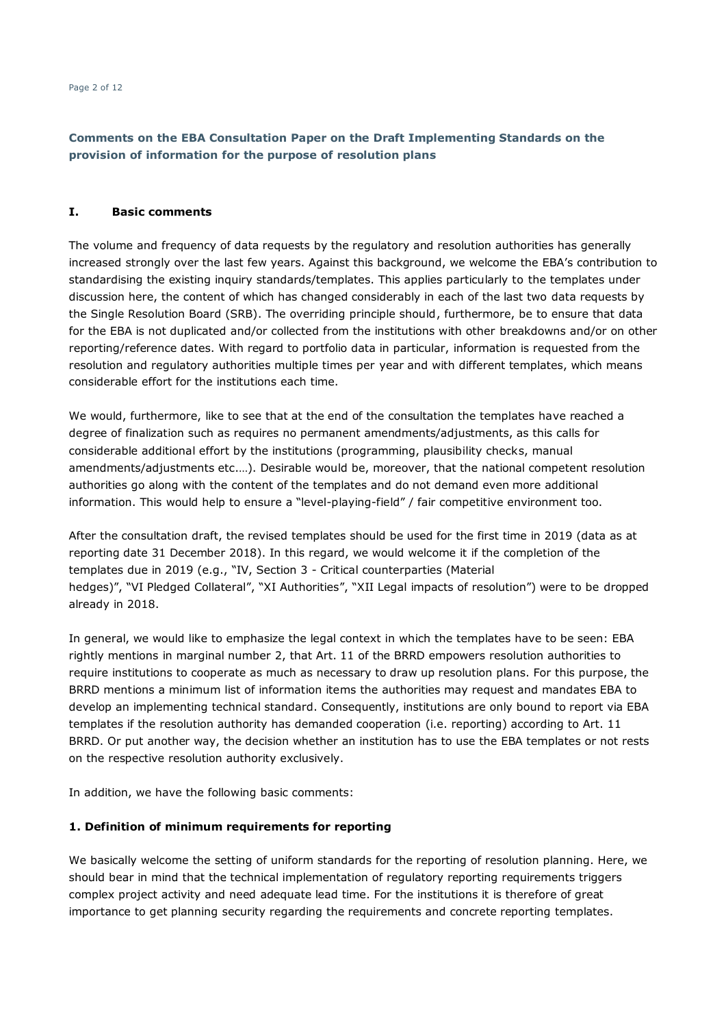### **I. Basic comments**

The volume and frequency of data requests by the regulatory and resolution authorities has generally increased strongly over the last few years. Against this background, we welcome the EBA's contribution to standardising the existing inquiry standards/templates. This applies particularly to the templates under discussion here, the content of which has changed considerably in each of the last two data requests by the Single Resolution Board (SRB). The overriding principle should, furthermore, be to ensure that data for the EBA is not duplicated and/or collected from the institutions with other breakdowns and/or on other reporting/reference dates. With regard to portfolio data in particular, information is requested from the resolution and regulatory authorities multiple times per year and with different templates, which means considerable effort for the institutions each time.

We would, furthermore, like to see that at the end of the consultation the templates have reached a degree of finalization such as requires no permanent amendments/adjustments, as this calls for considerable additional effort by the institutions (programming, plausibility checks, manual amendments/adjustments etc.…). Desirable would be, moreover, that the national competent resolution authorities go along with the content of the templates and do not demand even more additional information. This would help to ensure a "level-playing-field" / fair competitive environment too.

After the consultation draft, the revised templates should be used for the first time in 2019 (data as at reporting date 31 December 2018). In this regard, we would welcome it if the completion of the templates due in 2019 (e.g., "IV, Section 3 - Critical counterparties (Material hedges)", "VI Pledged Collateral", "XI Authorities", "XII Legal impacts of resolution") were to be dropped already in 2018.

In general, we would like to emphasize the legal context in which the templates have to be seen: EBA rightly mentions in marginal number 2, that Art. 11 of the BRRD empowers resolution authorities to require institutions to cooperate as much as necessary to draw up resolution plans. For this purpose, the BRRD mentions a minimum list of information items the authorities may request and mandates EBA to develop an implementing technical standard. Consequently, institutions are only bound to report via EBA templates if the resolution authority has demanded cooperation (i.e. reporting) according to Art. 11 BRRD. Or put another way, the decision whether an institution has to use the EBA templates or not rests on the respective resolution authority exclusively.

In addition, we have the following basic comments:

### **1. Definition of minimum requirements for reporting**

We basically welcome the setting of uniform standards for the reporting of resolution planning. Here, we should bear in mind that the technical implementation of regulatory reporting requirements triggers complex project activity and need adequate lead time. For the institutions it is therefore of great importance to get planning security regarding the requirements and concrete reporting templates.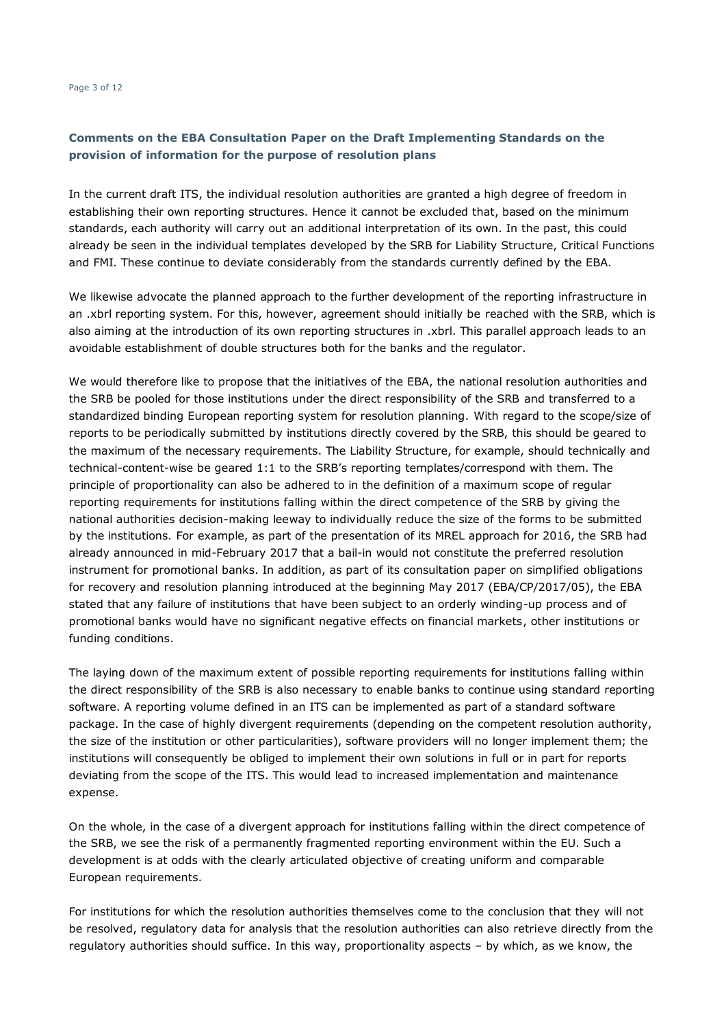In the current draft ITS, the individual resolution authorities are granted a high degree of freedom in establishing their own reporting structures. Hence it cannot be excluded that, based on the minimum standards, each authority will carry out an additional interpretation of its own. In the past, this could already be seen in the individual templates developed by the SRB for Liability Structure, Critical Functions and FMI. These continue to deviate considerably from the standards currently defined by the EBA.

We likewise advocate the planned approach to the further development of the reporting infrastructure in an .xbrl reporting system. For this, however, agreement should initially be reached with the SRB, which is also aiming at the introduction of its own reporting structures in .xbrl. This parallel approach leads to an avoidable establishment of double structures both for the banks and the regulator.

We would therefore like to propose that the initiatives of the EBA, the national resolution authorities and the SRB be pooled for those institutions under the direct responsibility of the SRB and transferred to a standardized binding European reporting system for resolution planning. With regard to the scope/size of reports to be periodically submitted by institutions directly covered by the SRB, this should be geared to the maximum of the necessary requirements. The Liability Structure, for example, should technically and technical-content-wise be geared 1:1 to the SRB's reporting templates/correspond with them. The principle of proportionality can also be adhered to in the definition of a maximum scope of regular reporting requirements for institutions falling within the direct competence of the SRB by giving the national authorities decision-making leeway to individually reduce the size of the forms to be submitted by the institutions. For example, as part of the presentation of its MREL approach for 2016, the SRB had already announced in mid-February 2017 that a bail-in would not constitute the preferred resolution instrument for promotional banks. In addition, as part of its consultation paper on simplified obligations for recovery and resolution planning introduced at the beginning May 2017 (EBA/CP/2017/05), the EBA stated that any failure of institutions that have been subject to an orderly winding-up process and of promotional banks would have no significant negative effects on financial markets, other institutions or funding conditions.

The laying down of the maximum extent of possible reporting requirements for institutions falling within the direct responsibility of the SRB is also necessary to enable banks to continue using standard reporting software. A reporting volume defined in an ITS can be implemented as part of a standard software package. In the case of highly divergent requirements (depending on the competent resolution authority, the size of the institution or other particularities), software providers will no longer implement them; the institutions will consequently be obliged to implement their own solutions in full or in part for reports deviating from the scope of the ITS. This would lead to increased implementation and maintenance expense.

On the whole, in the case of a divergent approach for institutions falling within the direct competence of the SRB, we see the risk of a permanently fragmented reporting environment within the EU. Such a development is at odds with the clearly articulated objective of creating uniform and comparable European requirements.

For institutions for which the resolution authorities themselves come to the conclusion that they will not be resolved, regulatory data for analysis that the resolution authorities can also retrieve directly from the regulatory authorities should suffice. In this way, proportionality aspects – by which, as we know, the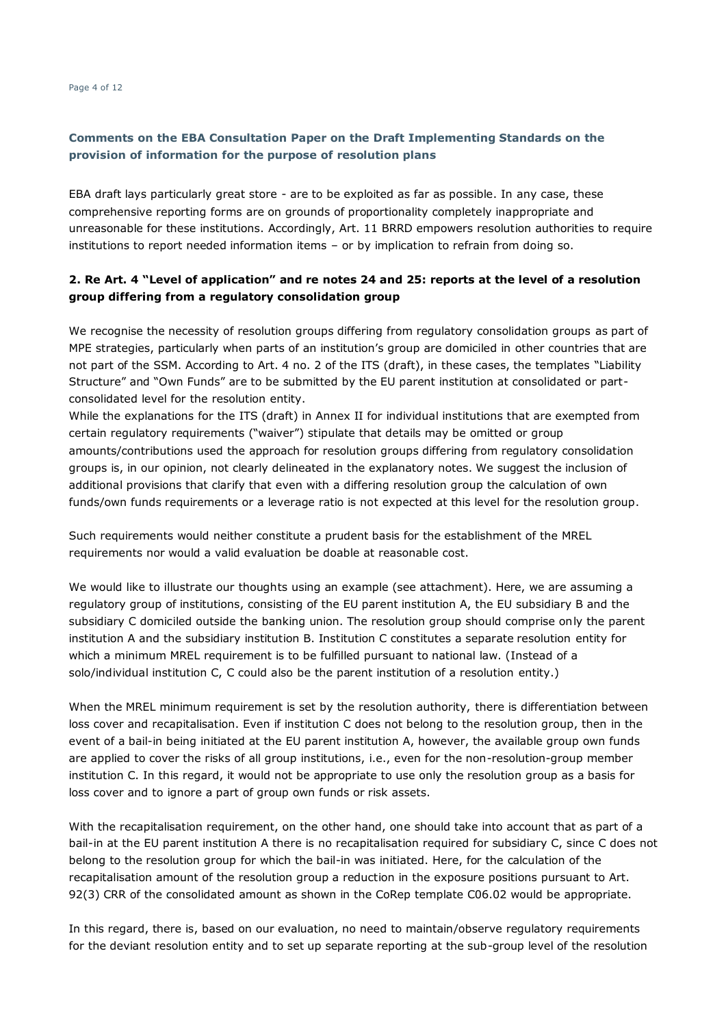EBA draft lays particularly great store - are to be exploited as far as possible. In any case, these comprehensive reporting forms are on grounds of proportionality completely inappropriate and unreasonable for these institutions. Accordingly, Art. 11 BRRD empowers resolution authorities to require institutions to report needed information items – or by implication to refrain from doing so.

# **2. Re Art. 4 "Level of application" and re notes 24 and 25: reports at the level of a resolution group differing from a regulatory consolidation group**

We recognise the necessity of resolution groups differing from regulatory consolidation groups as part of MPE strategies, particularly when parts of an institution's group are domiciled in other countries that are not part of the SSM. According to Art. 4 no. 2 of the ITS (draft), in these cases, the templates "Liability Structure" and "Own Funds" are to be submitted by the EU parent institution at consolidated or partconsolidated level for the resolution entity.

While the explanations for the ITS (draft) in Annex II for individual institutions that are exempted from certain regulatory requirements ("waiver") stipulate that details may be omitted or group amounts/contributions used the approach for resolution groups differing from regulatory consolidation groups is, in our opinion, not clearly delineated in the explanatory notes. We suggest the inclusion of additional provisions that clarify that even with a differing resolution group the calculation of own funds/own funds requirements or a leverage ratio is not expected at this level for the resolution group.

Such requirements would neither constitute a prudent basis for the establishment of the MREL requirements nor would a valid evaluation be doable at reasonable cost.

We would like to illustrate our thoughts using an example (see attachment). Here, we are assuming a regulatory group of institutions, consisting of the EU parent institution A, the EU subsidiary B and the subsidiary C domiciled outside the banking union. The resolution group should comprise only the parent institution A and the subsidiary institution B. Institution C constitutes a separate resolution entity for which a minimum MREL requirement is to be fulfilled pursuant to national law. (Instead of a solo/individual institution C, C could also be the parent institution of a resolution entity.)

When the MREL minimum requirement is set by the resolution authority, there is differentiation between loss cover and recapitalisation. Even if institution C does not belong to the resolution group, then in the event of a bail-in being initiated at the EU parent institution A, however, the available group own funds are applied to cover the risks of all group institutions, i.e., even for the non-resolution-group member institution C. In this regard, it would not be appropriate to use only the resolution group as a basis for loss cover and to ignore a part of group own funds or risk assets.

With the recapitalisation requirement, on the other hand, one should take into account that as part of a bail-in at the EU parent institution A there is no recapitalisation required for subsidiary C, since C does not belong to the resolution group for which the bail-in was initiated. Here, for the calculation of the recapitalisation amount of the resolution group a reduction in the exposure positions pursuant to Art. 92(3) CRR of the consolidated amount as shown in the CoRep template C06.02 would be appropriate.

In this regard, there is, based on our evaluation, no need to maintain/observe regulatory requirements for the deviant resolution entity and to set up separate reporting at the sub-group level of the resolution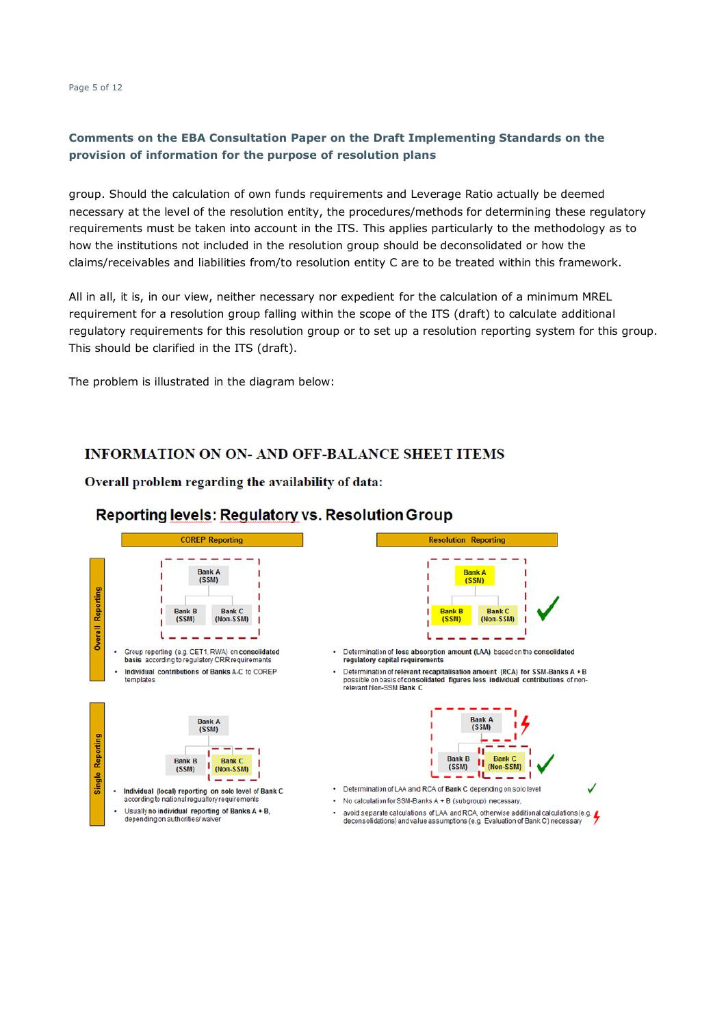Page 5 of 12

# **Comments on the EBA Consultation Paper on the Draft Implementing Standards on the provision of information for the purpose of resolution plans**

group. Should the calculation of own funds requirements and Leverage Ratio actually be deemed necessary at the level of the resolution entity, the procedures/methods for determining these regulatory requirements must be taken into account in the ITS. This applies particularly to the methodology as to how the institutions not included in the resolution group should be deconsolidated or how the claims/receivables and liabilities from/to resolution entity C are to be treated within this framework.

All in all, it is, in our view, neither necessary nor expedient for the calculation of a minimum MREL requirement for a resolution group falling within the scope of the ITS (draft) to calculate additional regulatory requirements for this resolution group or to set up a resolution reporting system for this group. This should be clarified in the ITS (draft).

The problem is illustrated in the diagram below:

# **INFORMATION ON ON- AND OFF-BALANCE SHEET ITEMS**

Overall problem regarding the availability of data:



# Reporting levels: Regulatory vs. Resolution Group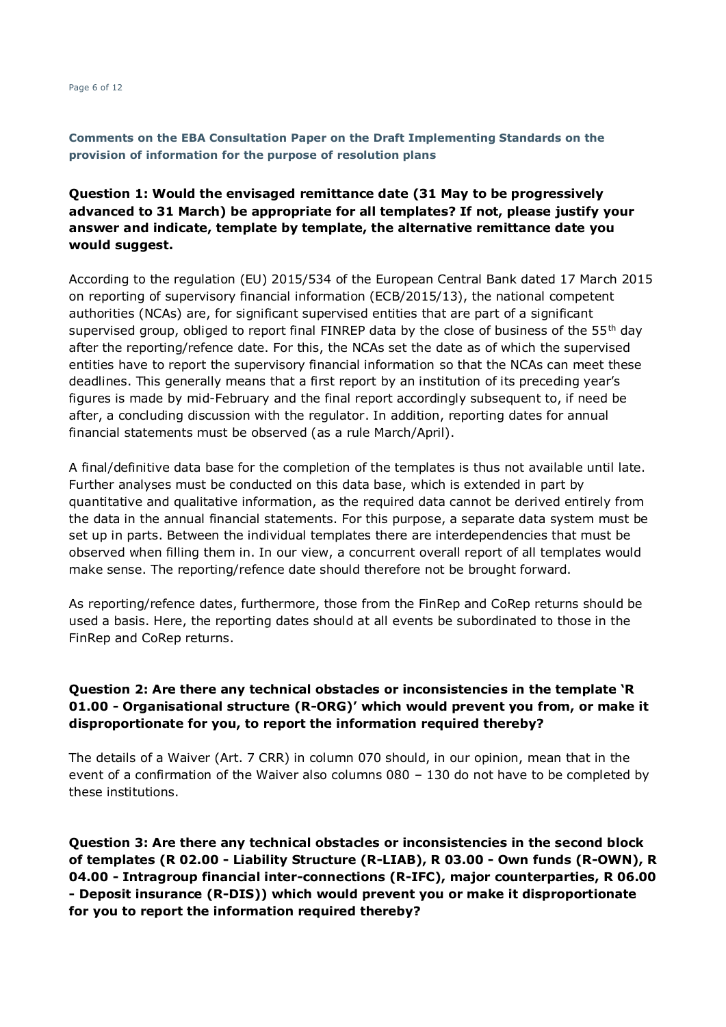Page 6 of 12

**Comments on the EBA Consultation Paper on the Draft Implementing Standards on the provision of information for the purpose of resolution plans**

# **Question 1: Would the envisaged remittance date (31 May to be progressively advanced to 31 March) be appropriate for all templates? If not, please justify your answer and indicate, template by template, the alternative remittance date you would suggest.**

According to the regulation (EU) 2015/534 of the European Central Bank dated 17 March 2015 on reporting of supervisory financial information (ECB/2015/13), the national competent authorities (NCAs) are, for significant supervised entities that are part of a significant supervised group, obliged to report final FINREP data by the close of business of the  $55<sup>th</sup>$  day after the reporting/refence date. For this, the NCAs set the date as of which the supervised entities have to report the supervisory financial information so that the NCAs can meet these deadlines. This generally means that a first report by an institution of its preceding year's figures is made by mid-February and the final report accordingly subsequent to, if need be after, a concluding discussion with the regulator. In addition, reporting dates for annual financial statements must be observed (as a rule March/April).

A final/definitive data base for the completion of the templates is thus not available until late. Further analyses must be conducted on this data base, which is extended in part by quantitative and qualitative information, as the required data cannot be derived entirely from the data in the annual financial statements. For this purpose, a separate data system must be set up in parts. Between the individual templates there are interdependencies that must be observed when filling them in. In our view, a concurrent overall report of all templates would make sense. The reporting/refence date should therefore not be brought forward.

As reporting/refence dates, furthermore, those from the FinRep and CoRep returns should be used a basis. Here, the reporting dates should at all events be subordinated to those in the FinRep and CoRep returns.

# **Question 2: Are there any technical obstacles or inconsistencies in the template 'R 01.00 - Organisational structure (R-ORG)' which would prevent you from, or make it disproportionate for you, to report the information required thereby?**

The details of a Waiver (Art. 7 CRR) in column 070 should, in our opinion, mean that in the event of a confirmation of the Waiver also columns 080 – 130 do not have to be completed by these institutions.

**Question 3: Are there any technical obstacles or inconsistencies in the second block of templates (R 02.00 - Liability Structure (R-LIAB), R 03.00 - Own funds (R-OWN), R 04.00 - Intragroup financial inter-connections (R-IFC), major counterparties, R 06.00 - Deposit insurance (R-DIS)) which would prevent you or make it disproportionate for you to report the information required thereby?**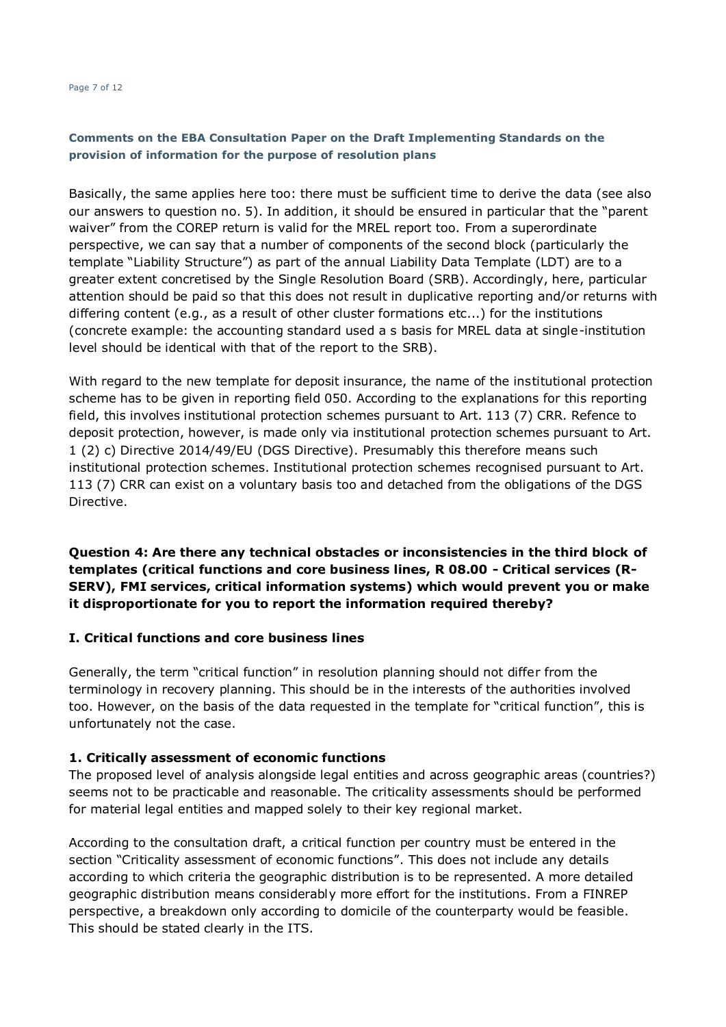#### Page 7 of 12

# **Comments on the EBA Consultation Paper on the Draft Implementing Standards on the provision of information for the purpose of resolution plans**

Basically, the same applies here too: there must be sufficient time to derive the data (see also our answers to question no. 5). In addition, it should be ensured in particular that the "parent waiver" from the COREP return is valid for the MREL report too. From a superordinate perspective, we can say that a number of components of the second block (particularly the template "Liability Structure") as part of the annual Liability Data Template (LDT) are to a greater extent concretised by the Single Resolution Board (SRB). Accordingly, here, particular attention should be paid so that this does not result in duplicative reporting and/or returns with differing content (e.g., as a result of other cluster formations etc...) for the institutions (concrete example: the accounting standard used a s basis for MREL data at single-institution level should be identical with that of the report to the SRB).

With regard to the new template for deposit insurance, the name of the institutional protection scheme has to be given in reporting field 050. According to the explanations for this reporting field, this involves institutional protection schemes pursuant to Art. 113 (7) CRR. Refence to deposit protection, however, is made only via institutional protection schemes pursuant to Art. 1 (2) c) Directive 2014/49/EU (DGS Directive). Presumably this therefore means such institutional protection schemes. Institutional protection schemes recognised pursuant to Art. 113 (7) CRR can exist on a voluntary basis too and detached from the obligations of the DGS Directive.

**Question 4: Are there any technical obstacles or inconsistencies in the third block of templates (critical functions and core business lines, R 08.00 - Critical services (R-SERV), FMI services, critical information systems) which would prevent you or make it disproportionate for you to report the information required thereby?**

# **I. Critical functions and core business lines**

Generally, the term "critical function" in resolution planning should not differ from the terminology in recovery planning. This should be in the interests of the authorities involved too. However, on the basis of the data requested in the template for "critical function", this is unfortunately not the case.

# **1. Critically assessment of economic functions**

The proposed level of analysis alongside legal entities and across geographic areas (countries?) seems not to be practicable and reasonable. The criticality assessments should be performed for material legal entities and mapped solely to their key regional market.

According to the consultation draft, a critical function per country must be entered in the section "Criticality assessment of economic functions". This does not include any details according to which criteria the geographic distribution is to be represented. A more detailed geographic distribution means considerably more effort for the institutions. From a FINREP perspective, a breakdown only according to domicile of the counterparty would be feasible. This should be stated clearly in the ITS.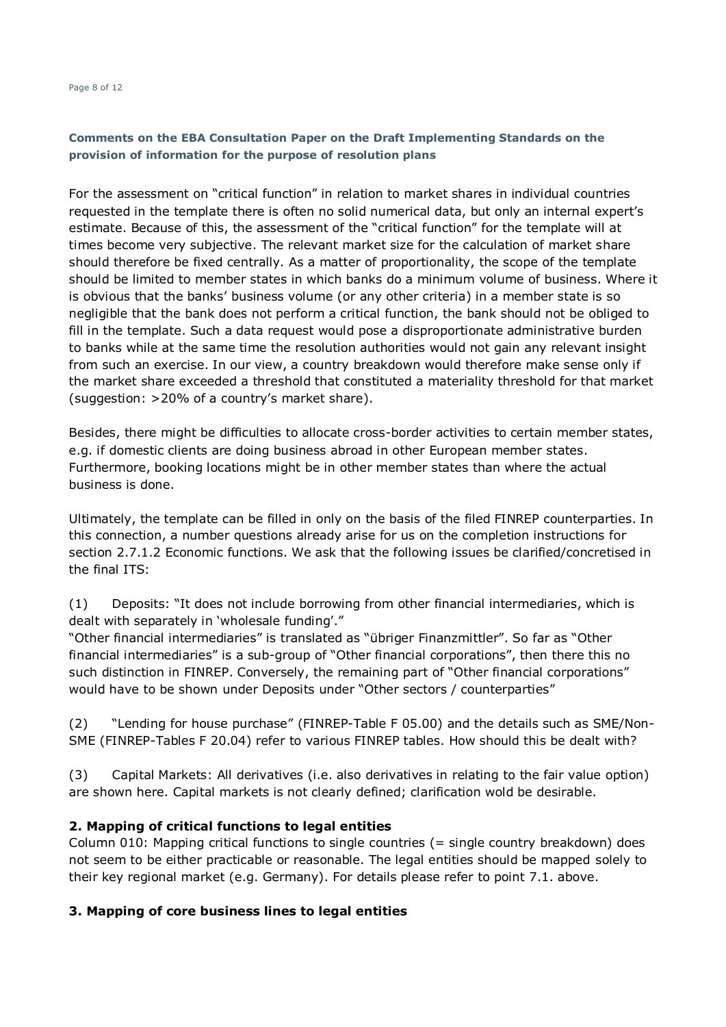#### Page 8 of 12

# **Comments on the EBA Consultation Paper on the Draft Implementing Standards on the provision of information for the purpose of resolution plans**

For the assessment on "critical function" in relation to market shares in individual countries requested in the template there is often no solid numerical data, but only an internal expert's estimate. Because of this, the assessment of the "critical function" for the template will at times become very subjective. The relevant market size for the calculation of market share should therefore be fixed centrally. As a matter of proportionality, the scope of the template should be limited to member states in which banks do a minimum volume of business. Where it is obvious that the banks' business volume (or any other criteria) in a member state is so negligible that the bank does not perform a critical function, the bank should not be obliged to fill in the template. Such a data request would pose a disproportionate administrative burden to banks while at the same time the resolution authorities would not gain any relevant insight from such an exercise. In our view, a country breakdown would therefore make sense only if the market share exceeded a threshold that constituted a materiality threshold for that market (suggestion: >20% of a country's market share).

Besides, there might be difficulties to allocate cross-border activities to certain member states, e.g. if domestic clients are doing business abroad in other European member states. Furthermore, booking locations might be in other member states than where the actual business is done.

Ultimately, the template can be filled in only on the basis of the filed FINREP counterparties. In this connection, a number questions already arise for us on the completion instructions for section 2.7.1.2 Economic functions. We ask that the following issues be clarified/concretised in the final ITS:

(1) Deposits: "It does not include borrowing from other financial intermediaries, which is dealt with separately in 'wholesale funding'."

"Other financial intermediaries" is translated as "übriger Finanzmittler". So far as "Other financial intermediaries" is a sub-group of "Other financial corporations", then there this no such distinction in FINREP. Conversely, the remaining part of "Other financial corporations" would have to be shown under Deposits under "Other sectors / counterparties"

(2) "Lending for house purchase" (FINREP-Table F 05.00) and the details such as SME/Non-SME (FINREP-Tables F 20.04) refer to various FINREP tables. How should this be dealt with?

(3) Capital Markets: All derivatives (i.e. also derivatives in relating to the fair value option) are shown here. Capital markets is not clearly defined; clarification wold be desirable.

# **2. Mapping of critical functions to legal entities**

Column 010: Mapping critical functions to single countries (= single country breakdown) does not seem to be either practicable or reasonable. The legal entities should be mapped solely to their key regional market (e.g. Germany). For details please refer to point 7.1. above.

# **3. Mapping of core business lines to legal entities**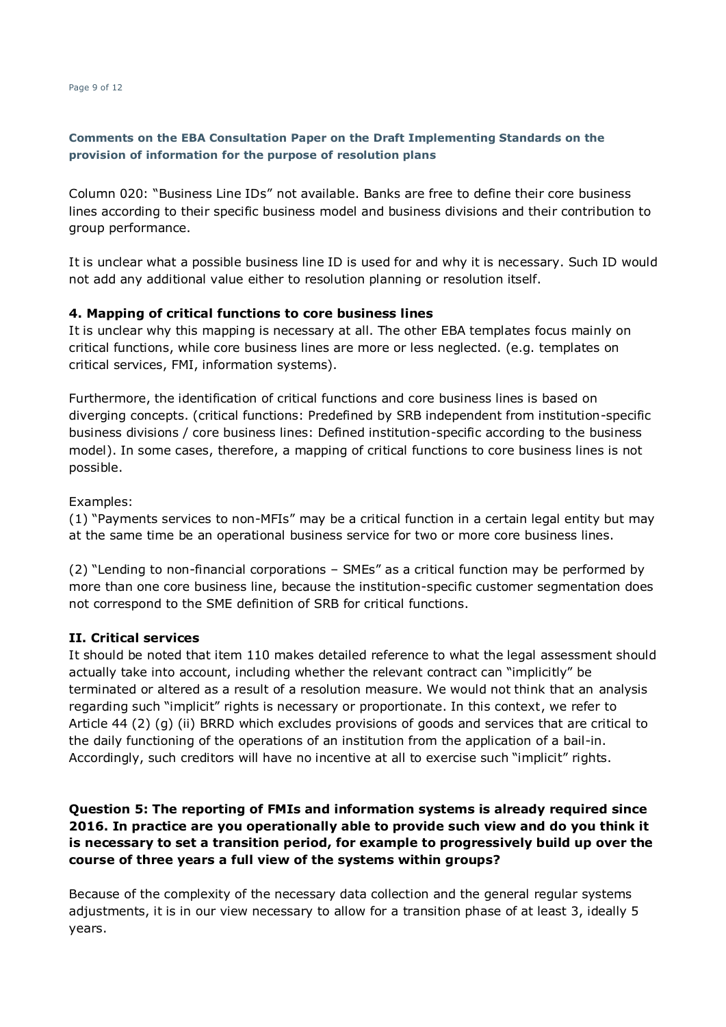Column 020: "Business Line IDs" not available. Banks are free to define their core business lines according to their specific business model and business divisions and their contribution to group performance.

It is unclear what a possible business line ID is used for and why it is necessary. Such ID would not add any additional value either to resolution planning or resolution itself.

# **4. Mapping of critical functions to core business lines**

It is unclear why this mapping is necessary at all. The other EBA templates focus mainly on critical functions, while core business lines are more or less neglected. (e.g. templates on critical services, FMI, information systems).

Furthermore, the identification of critical functions and core business lines is based on diverging concepts. (critical functions: Predefined by SRB independent from institution-specific business divisions / core business lines: Defined institution-specific according to the business model). In some cases, therefore, a mapping of critical functions to core business lines is not possible.

# Examples:

(1) "Payments services to non-MFIs" may be a critical function in a certain legal entity but may at the same time be an operational business service for two or more core business lines.

(2) "Lending to non-financial corporations – SMEs" as a critical function may be performed by more than one core business line, because the institution-specific customer segmentation does not correspond to the SME definition of SRB for critical functions.

### **II. Critical services**

It should be noted that item 110 makes detailed reference to what the legal assessment should actually take into account, including whether the relevant contract can "implicitly" be terminated or altered as a result of a resolution measure. We would not think that an analysis regarding such "implicit" rights is necessary or proportionate. In this context, we refer to Article 44 (2) (g) (ii) BRRD which excludes provisions of goods and services that are critical to the daily functioning of the operations of an institution from the application of a bail-in. Accordingly, such creditors will have no incentive at all to exercise such "implicit" rights.

# **Question 5: The reporting of FMIs and information systems is already required since 2016. In practice are you operationally able to provide such view and do you think it is necessary to set a transition period, for example to progressively build up over the course of three years a full view of the systems within groups?**

Because of the complexity of the necessary data collection and the general regular systems adjustments, it is in our view necessary to allow for a transition phase of at least 3, ideally 5 years.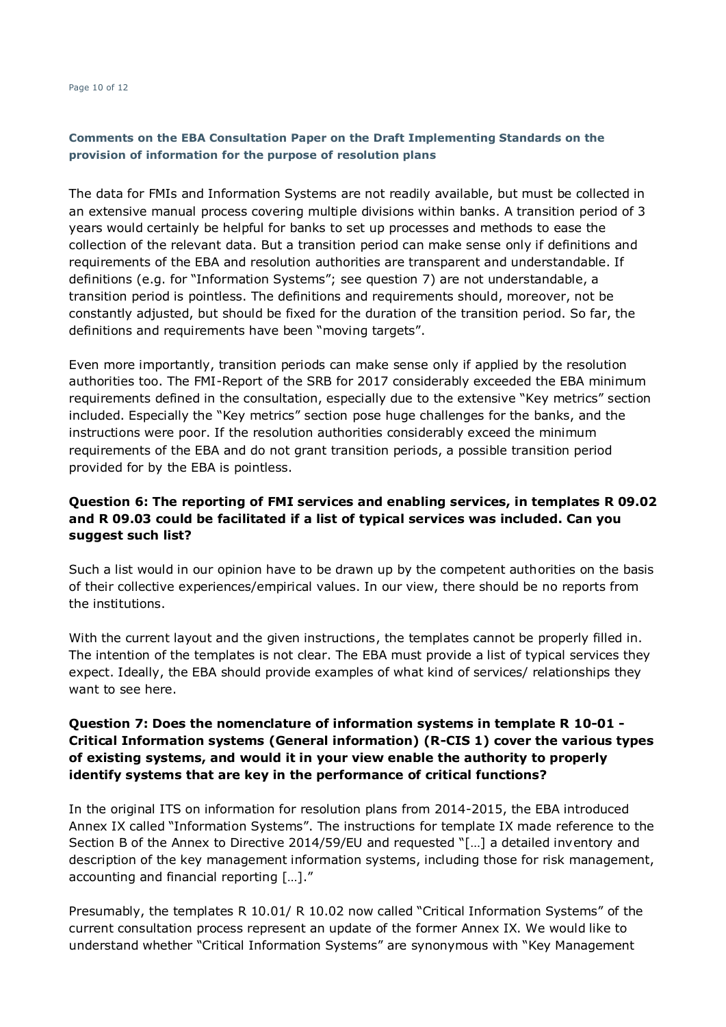The data for FMIs and Information Systems are not readily available, but must be collected in an extensive manual process covering multiple divisions within banks. A transition period of 3 years would certainly be helpful for banks to set up processes and methods to ease the collection of the relevant data. But a transition period can make sense only if definitions and requirements of the EBA and resolution authorities are transparent and understandable. If definitions (e.g. for "Information Systems"; see question 7) are not understandable, a transition period is pointless. The definitions and requirements should, moreover, not be constantly adjusted, but should be fixed for the duration of the transition period. So far, the definitions and requirements have been "moving targets".

Even more importantly, transition periods can make sense only if applied by the resolution authorities too. The FMI-Report of the SRB for 2017 considerably exceeded the EBA minimum requirements defined in the consultation, especially due to the extensive "Key metrics" section included. Especially the "Key metrics" section pose huge challenges for the banks, and the instructions were poor. If the resolution authorities considerably exceed the minimum requirements of the EBA and do not grant transition periods, a possible transition period provided for by the EBA is pointless.

# **Question 6: The reporting of FMI services and enabling services, in templates R 09.02 and R 09.03 could be facilitated if a list of typical services was included. Can you suggest such list?**

Such a list would in our opinion have to be drawn up by the competent authorities on the basis of their collective experiences/empirical values. In our view, there should be no reports from the institutions.

With the current layout and the given instructions, the templates cannot be properly filled in. The intention of the templates is not clear. The EBA must provide a list of typical services they expect. Ideally, the EBA should provide examples of what kind of services/ relationships they want to see here.

# **Question 7: Does the nomenclature of information systems in template R 10-01 - Critical Information systems (General information) (R-CIS 1) cover the various types of existing systems, and would it in your view enable the authority to properly identify systems that are key in the performance of critical functions?**

In the original ITS on information for resolution plans from 2014-2015, the EBA introduced Annex IX called "Information Systems". The instructions for template IX made reference to the Section B of the Annex to Directive 2014/59/EU and requested "[…] a detailed inventory and description of the key management information systems, including those for risk management, accounting and financial reporting […]."

Presumably, the templates R 10.01/ R 10.02 now called "Critical Information Systems" of the current consultation process represent an update of the former Annex IX. We would like to understand whether "Critical Information Systems" are synonymous with "Key Management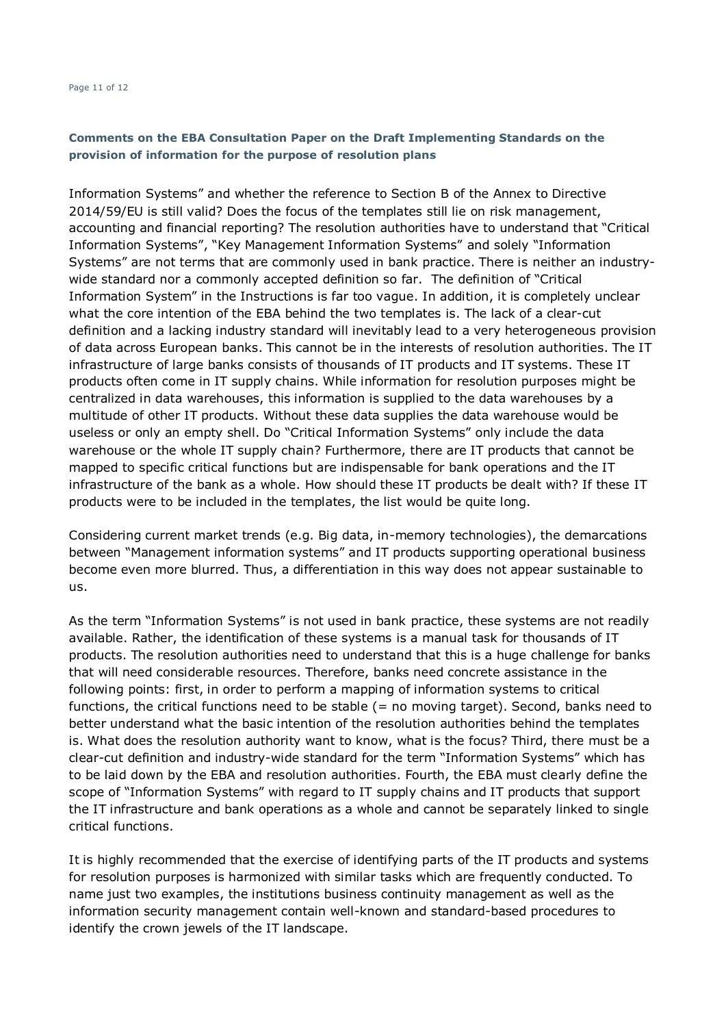#### Page 11 of 12

# **Comments on the EBA Consultation Paper on the Draft Implementing Standards on the provision of information for the purpose of resolution plans**

Information Systems" and whether the reference to Section B of the Annex to Directive 2014/59/EU is still valid? Does the focus of the templates still lie on risk management, accounting and financial reporting? The resolution authorities have to understand that "Critical Information Systems", "Key Management Information Systems" and solely "Information Systems" are not terms that are commonly used in bank practice. There is neither an industrywide standard nor a commonly accepted definition so far. The definition of "Critical Information System" in the Instructions is far too vague. In addition, it is completely unclear what the core intention of the EBA behind the two templates is. The lack of a clear-cut definition and a lacking industry standard will inevitably lead to a very heterogeneous provision of data across European banks. This cannot be in the interests of resolution authorities. The IT infrastructure of large banks consists of thousands of IT products and IT systems. These IT products often come in IT supply chains. While information for resolution purposes might be centralized in data warehouses, this information is supplied to the data warehouses by a multitude of other IT products. Without these data supplies the data warehouse would be useless or only an empty shell. Do "Critical Information Systems" only include the data warehouse or the whole IT supply chain? Furthermore, there are IT products that cannot be mapped to specific critical functions but are indispensable for bank operations and the IT infrastructure of the bank as a whole. How should these IT products be dealt with? If these IT products were to be included in the templates, the list would be quite long.

Considering current market trends (e.g. Big data, in-memory technologies), the demarcations between "Management information systems" and IT products supporting operational business become even more blurred. Thus, a differentiation in this way does not appear sustainable to us.

As the term "Information Systems" is not used in bank practice, these systems are not readily available. Rather, the identification of these systems is a manual task for thousands of IT products. The resolution authorities need to understand that this is a huge challenge for banks that will need considerable resources. Therefore, banks need concrete assistance in the following points: first, in order to perform a mapping of information systems to critical functions, the critical functions need to be stable (= no moving target). Second, banks need to better understand what the basic intention of the resolution authorities behind the templates is. What does the resolution authority want to know, what is the focus? Third, there must be a clear-cut definition and industry-wide standard for the term "Information Systems" which has to be laid down by the EBA and resolution authorities. Fourth, the EBA must clearly define the scope of "Information Systems" with regard to IT supply chains and IT products that support the IT infrastructure and bank operations as a whole and cannot be separately linked to single critical functions.

It is highly recommended that the exercise of identifying parts of the IT products and systems for resolution purposes is harmonized with similar tasks which are frequently conducted. To name just two examples, the institutions business continuity management as well as the information security management contain well-known and standard-based procedures to identify the crown jewels of the IT landscape.